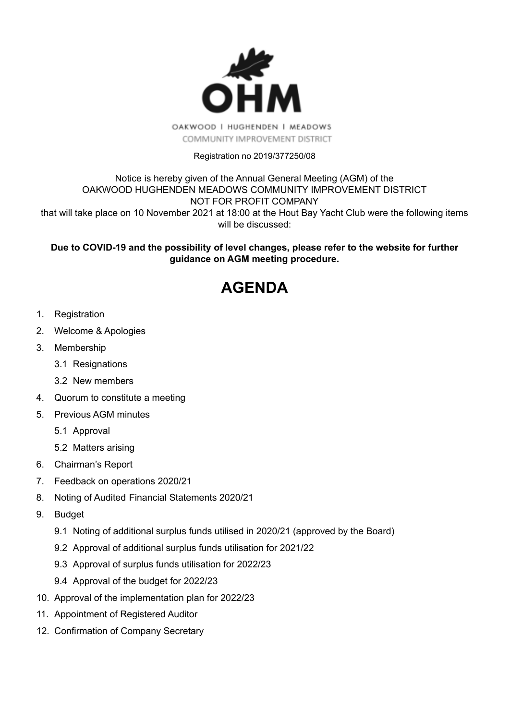

## Registration no 2019/377250/08

### Notice is hereby given of the Annual General Meeting (AGM) of the OAKWOOD HUGHENDEN MEADOWS COMMUNITY IMPROVEMENT DISTRICT NOT FOR PROFIT COMPANY that will take place on 10 November 2021 at 18:00 at the Hout Bay Yacht Club were the following items will be discussed:

## **Due to COVID-19 and the possibility of level changes, please refer to the website for further guidance on AGM meeting procedure.**

# **AGENDA**

- 1. Registration
- 2. Welcome & Apologies
- 3. Membership
	- 3.1 Resignations
	- 3.2 New members
- 4. Quorum to constitute a meeting
- 5. Previous AGM minutes
	- 5.1 Approval
	- 5.2 Matters arising
- 6. Chairman's Report
- 7. Feedback on operations 2020/21
- 8. Noting of Audited Financial [Statements](https://drive.google.com/drive/folders/173qUjcQbOsa1FR1lf_mTYUnPP8LEjTbT) 2020/21
- 9. Budget
	- 9.1 Noting of additional surplus funds utilised in 2020/21 (approved by the Board)
	- 9.2 Approval of additional surplus funds utilisation for 2021/22
	- 9.3 Approval of surplus funds utilisation for 2022/23
	- 9.4 Approval of the budget for 2022/23
- 10. Approval of the implementation plan for 2022/23
- 11. Appointment of Registered Auditor
- 12. Confirmation of Company Secretary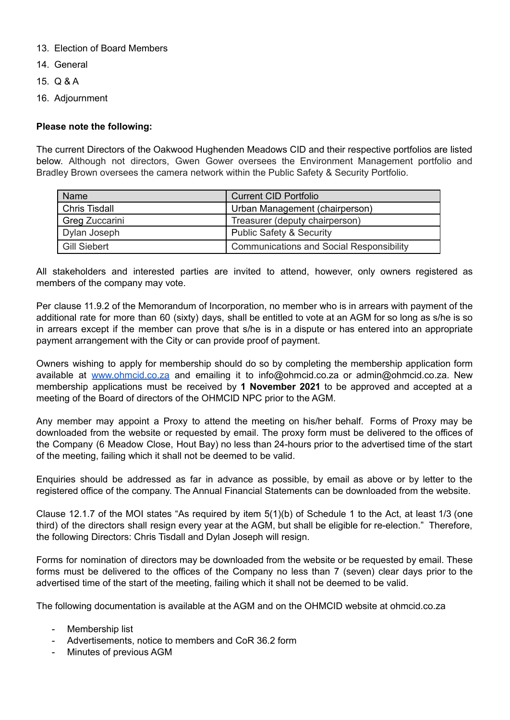- 13. Election of Board Members
- 14. General
- 15. Q & A
- 16. Adjournment

#### **Please note the following:**

The current Directors of the Oakwood Hughenden Meadows CID and their respective portfolios are listed below. Although not directors, Gwen Gower oversees the Environment Management portfolio and Bradley Brown oversees the camera network within the Public Safety & Security Portfolio.

| <b>Name</b>          | <b>Current CID Portfolio</b>                    |
|----------------------|-------------------------------------------------|
| <b>Chris Tisdall</b> | Urban Management (chairperson)                  |
| Greg Zuccarini       | Treasurer (deputy chairperson)                  |
| Dylan Joseph         | <b>Public Safety &amp; Security</b>             |
| <b>Gill Siebert</b>  | <b>Communications and Social Responsibility</b> |

All stakeholders and interested parties are invited to attend, however, only owners registered as members of the company may vote.

Per clause 11.9.2 of the Memorandum of Incorporation, no member who is in arrears with payment of the additional rate for more than 60 (sixty) days, shall be entitled to vote at an AGM for so long as s/he is so in arrears except if the member can prove that s/he is in a dispute or has entered into an appropriate payment arrangement with the City or can provide proof of payment.

Owners wishing to apply for membership should do so by completing the membership application form available at [www.ohmcid.co.za](http://www.ohmcid.co.za) and emailing it to info@ohmcid.co.za or admin@ohmcid.co.za. New membership applications must be received by **1 November 2021** to be approved and accepted at a meeting of the Board of directors of the OHMCID NPC prior to the AGM.

Any member may appoint a Proxy to attend the meeting on his/her behalf. Forms of Proxy may be downloaded from the website or requested by email. The proxy form must be delivered to the offices of the Company (6 Meadow Close, Hout Bay) no less than 24-hours prior to the advertised time of the start of the meeting, failing which it shall not be deemed to be valid.

Enquiries should be addressed as far in advance as possible, by email as above or by letter to the registered office of the company. The Annual Financial Statements can be downloaded from the website.

Clause 12.1.7 of the MOI states "As required by item 5(1)(b) of Schedule 1 to the Act, at least 1/3 (one third) of the directors shall resign every year at the AGM, but shall be eligible for re-election." Therefore, the following Directors: Chris Tisdall and Dylan Joseph will resign.

Forms for nomination of directors may be downloaded from the website or be requested by email. These forms must be delivered to the offices of the Company no less than 7 (seven) clear days prior to the advertised time of the start of the meeting, failing which it shall not be deemed to be valid.

The following documentation is available at the AGM and on the OHMCID website at ohmcid.co.za

- Membership list
- Advertisements, notice to members and CoR 36.2 form
- Minutes of previous AGM